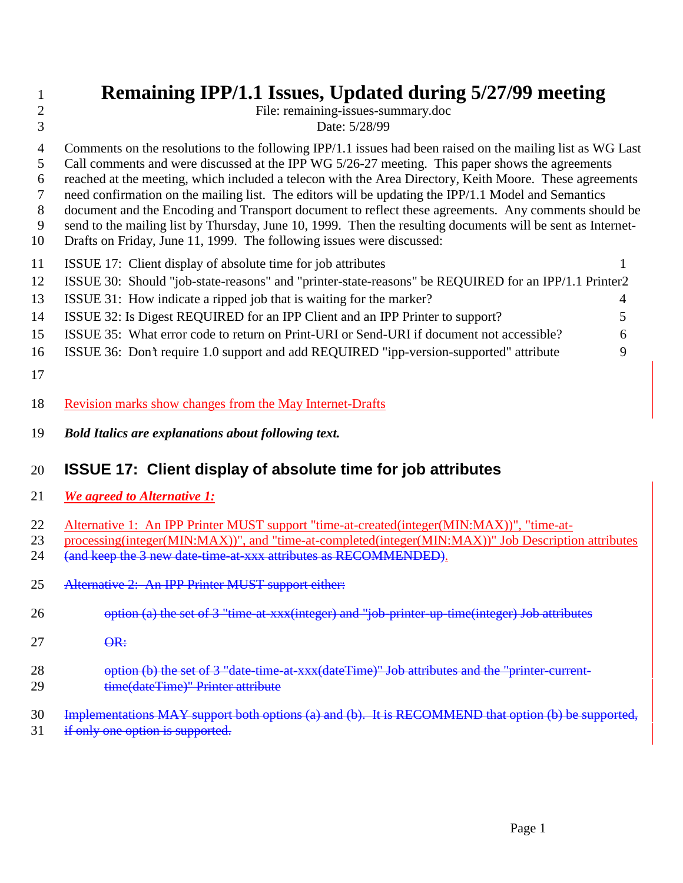File: remaining-issues-summary.doc Date: 5/28/99

- Comments on the resolutions to the following IPP/1.1 issues had been raised on the mailing list as WG Last
- Call comments and were discussed at the IPP WG 5/26-27 meeting. This paper shows the agreements
- reached at the meeting, which included a telecon with the Area Directory, Keith Moore. These agreements
- need confirmation on the mailing list. The editors will be updating the IPP/1.1 Model and Semantics document and the Encoding and Transport document to reflect these agreements. Any comments should be
- send to the mailing list by Thursday, June 10, 1999. Then the resulting documents will be sent as Internet-
- Drafts on Friday, June 11, 1999. The following issues were discussed:

| -11 | ISSUE 17: Client display of absolute time for job attributes                                         |    |
|-----|------------------------------------------------------------------------------------------------------|----|
| 12  | ISSUE 30: Should "job-state-reasons" and "printer-state-reasons" be REQUIRED for an IPP/1.1 Printer2 |    |
| -13 | ISSUE 31: How indicate a ripped job that is waiting for the marker?                                  | 4  |
| -14 | ISSUE 32: Is Digest REQUIRED for an IPP Client and an IPP Printer to support?                        | 5. |
| 15  | ISSUE 35: What error code to return on Print-URI or Send-URI if document not accessible?             | 6  |
| -16 | ISSUE 36: Don't require 1.0 support and add REQUIRED "ipp-version-supported" attribute               | 9  |

- 
- Revision marks show changes from the May Internet-Drafts
- *Bold Italics are explanations about following text.*

# **ISSUE 17: Client display of absolute time for job attributes**

- *We agreed to Alternative 1:*
- 22 Alternative 1: An IPP Printer MUST support "time-at-created(integer(MIN:MAX))", "time-at-
- processing(integer(MIN:MAX))", and "time-at-completed(integer(MIN:MAX))" Job Description attributes 24 (and keep the 3 new date-time-at-xxx attributes as RECOMMENDED).
- Alternative 2: An IPP Printer MUST support either:
- 26 option (a) the set of 3 "time-at-xxx(integer) and "job-printer-up-time(integer) Job attributes
- 27  $\theta$ <sup>R:</sup>
- 28 option (b) the set of 3 "date-time-at-xxx(dateTime)" Job attributes and the "printer-current-29 time(dateTime)" Printer attribute
- Implementations MAY support both options (a) and (b). It is RECOMMEND that option (b) be supported,
- 31 if only one option is supported.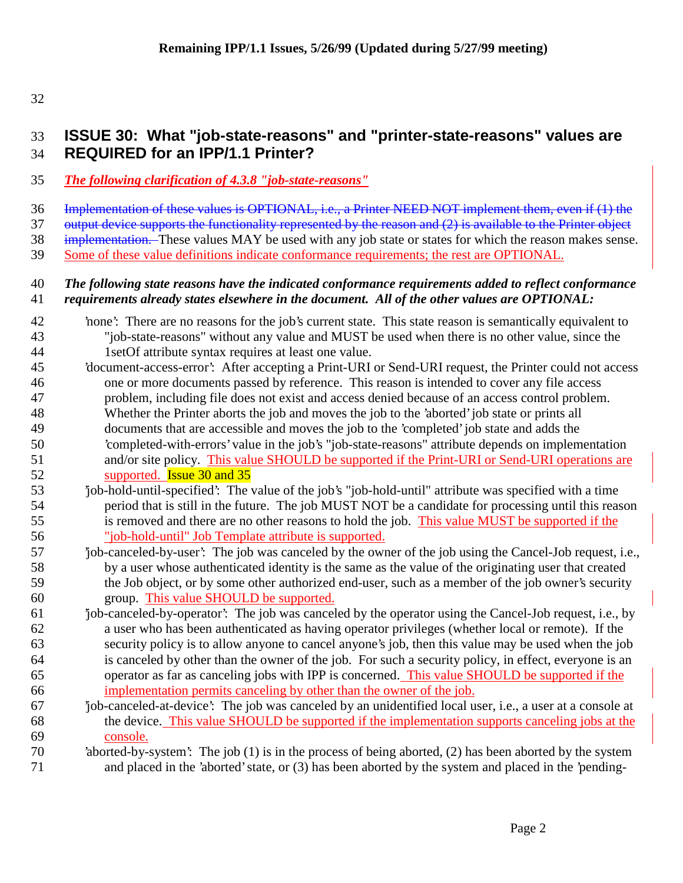# **ISSUE 30: What "job-state-reasons" and "printer-state-reasons" values are REQUIRED for an IPP/1.1 Printer?**

- *The following clarification of 4.3.8 "job-state-reasons"*
- Implementation of these values is OPTIONAL, i.e., a Printer NEED NOT implement them, even if (1) the

37 output device supports the functionality represented by the reason and (2) is available to the Printer object

38 implementation. These values MAY be used with any job state or states for which the reason makes sense.

Some of these value definitions indicate conformance requirements; the rest are OPTIONAL.

## *The following state reasons have the indicated conformance requirements added to reflect conformance requirements already states elsewhere in the document. All of the other values are OPTIONAL:*

- 'none': There are no reasons for the job's current state. This state reason is semantically equivalent to "job-state-reasons" without any value and MUST be used when there is no other value, since the 1setOf attribute syntax requires at least one value.
- 'document-access-error': After accepting a Print-URI or Send-URI request, the Printer could not access one or more documents passed by reference. This reason is intended to cover any file access problem, including file does not exist and access denied because of an access control problem. Whether the Printer aborts the job and moves the job to the 'aborted' job state or prints all documents that are accessible and moves the job to the 'completed' job state and adds the 'completed-with-errors' value in the job's "job-state-reasons" attribute depends on implementation 51 and/or site policy. This value SHOULD be supported if the Print-URI or Send-URI operations are 52 supported. **Issue 30 and 35**
- 'job-hold-until-specified': The value of the job's "job-hold-until" attribute was specified with a time period that is still in the future. The job MUST NOT be a candidate for processing until this reason is removed and there are no other reasons to hold the job. This value MUST be supported if the "job-hold-until" Job Template attribute is supported.
- 'job-canceled-by-user': The job was canceled by the owner of the job using the Cancel-Job request, i.e., by a user whose authenticated identity is the same as the value of the originating user that created the Job object, or by some other authorized end-user, such as a member of the job owner's security group. This value SHOULD be supported.
- 'job-canceled-by-operator': The job was canceled by the operator using the Cancel-Job request, i.e., by a user who has been authenticated as having operator privileges (whether local or remote). If the security policy is to allow anyone to cancel anyone's job, then this value may be used when the job is canceled by other than the owner of the job. For such a security policy, in effect, everyone is an operator as far as canceling jobs with IPP is concerned. This value SHOULD be supported if the implementation permits canceling by other than the owner of the job.
- 'job-canceled-at-device': The job was canceled by an unidentified local user, i.e., a user at a console at the device. This value SHOULD be supported if the implementation supports canceling jobs at the console.

## 'aborted-by-system': The job (1) is in the process of being aborted, (2) has been aborted by the system and placed in the 'aborted' state, or (3) has been aborted by the system and placed in the 'pending-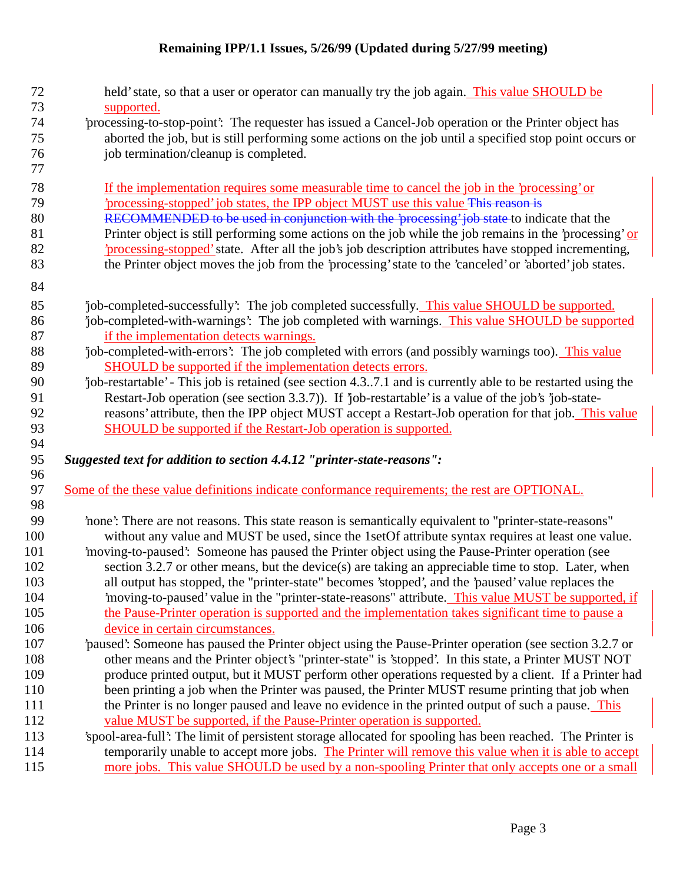| 72<br>73 | held' state, so that a user or operator can manually try the job again. This value SHOULD be                |
|----------|-------------------------------------------------------------------------------------------------------------|
| 74       | supported.                                                                                                  |
| 75       | processing-to-stop-point. The requester has issued a Cancel-Job operation or the Printer object has         |
|          | aborted the job, but is still performing some actions on the job until a specified stop point occurs or     |
| 76       | job termination/cleanup is completed.                                                                       |
| 77       |                                                                                                             |
| 78       | If the implementation requires some measurable time to cancel the job in the 'processing' or                |
| 79       | processing-stopped' job states, the IPP object MUST use this value This reason is                           |
| 80       | RECOMMENDED to be used in conjunction with the 'processing' job state to indicate that the                  |
| 81       | Printer object is still performing some actions on the job while the job remains in the 'processing' or     |
| 82       | 'processing-stopped' state. After all the job's job description attributes have stopped incrementing,       |
| 83       | the Printer object moves the job from the 'processing' state to the 'canceled' or 'aborted' job states.     |
| 84       |                                                                                                             |
| 85       | 'job-completed-successfully': The job completed successfully. This value SHOULD be supported.               |
| 86       | job-completed-with-warnings': The job completed with warnings. This value SHOULD be supported               |
| 87       | if the implementation detects warnings.                                                                     |
| 88       | job-completed-with-errors': The job completed with errors (and possibly warnings too). This value           |
| 89       | SHOULD be supported if the implementation detects errors.                                                   |
| 90       | job-restartable' - This job is retained (see section 4.37.1 and is currently able to be restarted using the |
| 91       | Restart-Job operation (see section 3.3.7)). If 'job-restartable' is a value of the job's 'job-state-        |
| 92       | reasons' attribute, then the IPP object MUST accept a Restart-Job operation for that job. This value        |
| 93       | <b>SHOULD</b> be supported if the Restart-Job operation is supported.                                       |
| 94       |                                                                                                             |
| 95       | Suggested text for addition to section 4.4.12 "printer-state-reasons":                                      |
| 96       |                                                                                                             |
| 97       | Some of the these value definitions indicate conformance requirements; the rest are OPTIONAL.               |
| 98       |                                                                                                             |
| 99       | 'none': There are not reasons. This state reason is semantically equivalent to "printer-state-reasons"      |
| 100      | without any value and MUST be used, since the 1setOf attribute syntax requires at least one value.          |
| 101      | 'moving-to-paused': Someone has paused the Printer object using the Pause-Printer operation (see            |
| 102      | section 3.2.7 or other means, but the device(s) are taking an appreciable time to stop. Later, when         |
| 103      | all output has stopped, the "printer-state" becomes 'stopped', and the 'paused' value replaces the          |
| 104      | 'moving-to-paused' value in the "printer-state-reasons" attribute. This value MUST be supported, if         |
| 105      | the Pause-Printer operation is supported and the implementation takes significant time to pause a           |
| 106      | device in certain circumstances.                                                                            |
| 107      | paused: Someone has paused the Printer object using the Pause-Printer operation (see section 3.2.7 or       |
| 108      | other means and the Printer object's "printer-state" is 'stopped'. In this state, a Printer MUST NOT        |
| 109      | produce printed output, but it MUST perform other operations requested by a client. If a Printer had        |
| 110      | been printing a job when the Printer was paused, the Printer MUST resume printing that job when             |
| 111      | the Printer is no longer paused and leave no evidence in the printed output of such a pause. This           |
| 112      | value MUST be supported, if the Pause-Printer operation is supported.                                       |
| 113      | 'spool-area-full': The limit of persistent storage allocated for spooling has been reached. The Printer is  |
| 114      | temporarily unable to accept more jobs. The Printer will remove this value when it is able to accept        |
| 115      | more jobs. This value SHOULD be used by a non-spooling Printer that only accepts one or a small             |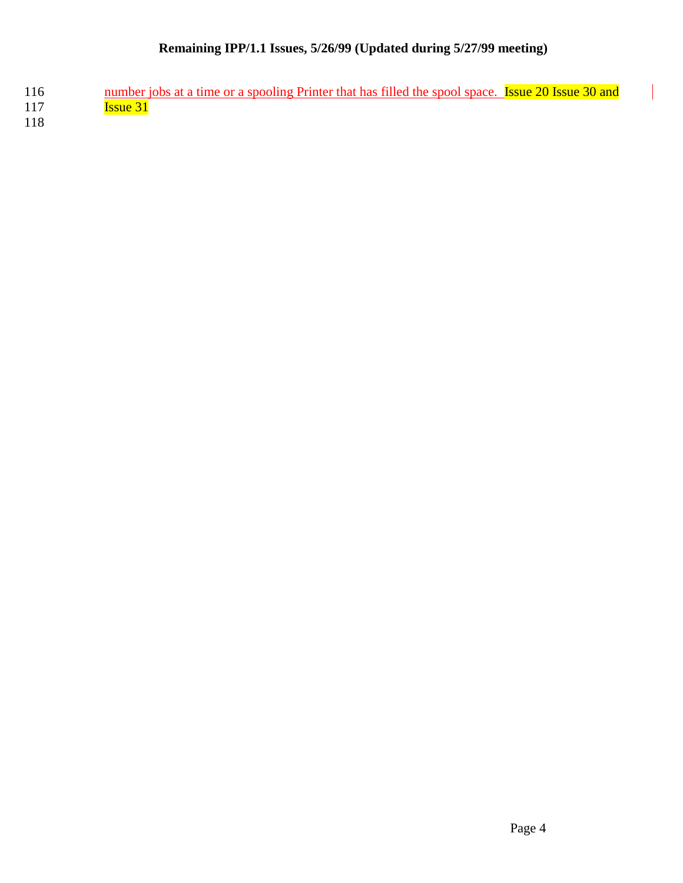116 number jobs at a time or a spooling Printer that has filled the spool space. **Issue 20 Issue 30 and** 117 Issue 31

118

 $\overline{\phantom{a}}$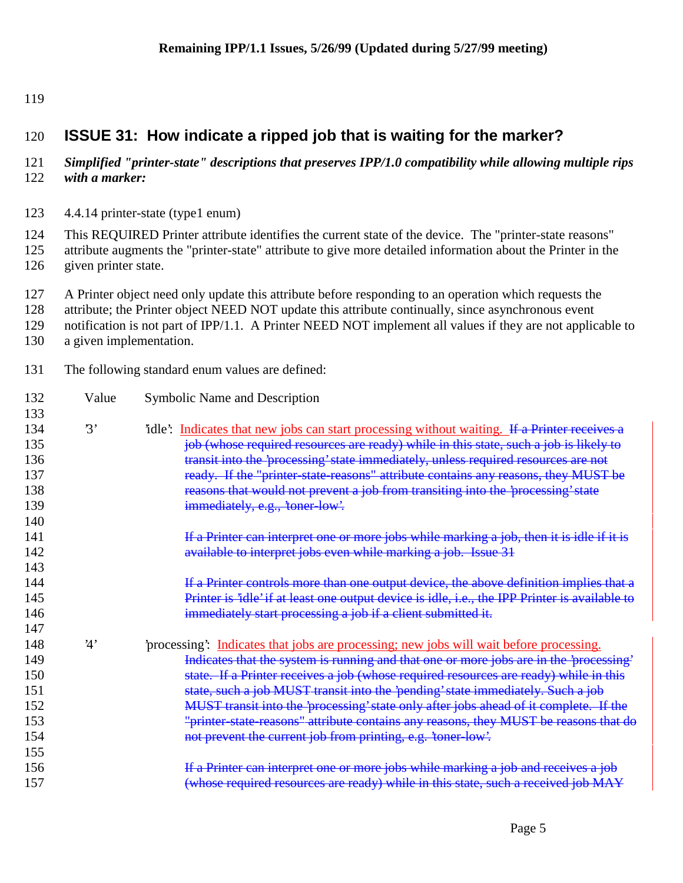# **ISSUE 31: How indicate a ripped job that is waiting for the marker?**

#### *Simplified "printer-state" descriptions that preserves IPP/1.0 compatibility while allowing multiple rips with a marker:*

- 4.4.14 printer-state (type1 enum)
- This REQUIRED Printer attribute identifies the current state of the device. The "printer-state reasons"
- attribute augments the "printer-state" attribute to give more detailed information about the Printer in the given printer state.
- A Printer object need only update this attribute before responding to an operation which requests the
- attribute; the Printer object NEED NOT update this attribute continually, since asynchronous event
- notification is not part of IPP/1.1. A Printer NEED NOT implement all values if they are not applicable to
- a given implementation.
- The following standard enum values are defined:

| 132             | Value          | Symbolic Name and Description                                                                  |  |  |
|-----------------|----------------|------------------------------------------------------------------------------------------------|--|--|
| 133             |                |                                                                                                |  |  |
| 134             | $\mathfrak{B}$ | idle': Indicates that new jobs can start processing without waiting. If a Printer receives a   |  |  |
| 135             |                | job (whose required resources are ready) while in this state, such a job is likely to          |  |  |
| 136             |                | transit into the 'processing' state immediately, unless required resources are not             |  |  |
| 137             |                | ready. If the "printer-state-reasons" attribute contains any reasons, they MUST be             |  |  |
| 138             |                | reasons that would not prevent a job from transiting into the 'processing' state               |  |  |
| 139             |                | immediately, e.g., 'toner-low'.                                                                |  |  |
| 140             |                |                                                                                                |  |  |
| 141             |                | If a Printer can interpret one or more jobs while marking a job, then it is idle if it is      |  |  |
| 142             |                | available to interpret jobs even while marking a job. Issue 31                                 |  |  |
| 143             |                |                                                                                                |  |  |
| 144             |                | If a Printer controls more than one output device, the above definition implies that a         |  |  |
| 145             |                | Printer is 'idle' if at least one output device is idle, i.e., the IPP Printer is available to |  |  |
| 146             |                | immediately start processing a job if a client submitted it.                                   |  |  |
| 147             |                |                                                                                                |  |  |
| 148             | 4'             | processing: Indicates that jobs are processing; new jobs will wait before processing.          |  |  |
| 149             |                | Indicates that the system is running and that one or more jobs are in the 'processing'         |  |  |
| 15 <sub>0</sub> |                | state. If a Printer receives a job (whose required resources are ready) while in this          |  |  |
| 151             |                | state, such a job MUST transit into the 'pending' state immediately. Such a job                |  |  |
| 152             |                | MUST transit into the 'processing' state only after jobs ahead of it complete. If the          |  |  |
| 153             |                | "printer-state-reasons" attribute contains any reasons, they MUST be reasons that do           |  |  |
| 154             |                | not prevent the current job from printing, e.g. 'toner-low'.                                   |  |  |
| 155             |                |                                                                                                |  |  |
| 156             |                | If a Printer can interpret one or more jobs while marking a job and receives a job             |  |  |
| 157             |                | (whose required resources are ready) while in this state, such a received job MAY              |  |  |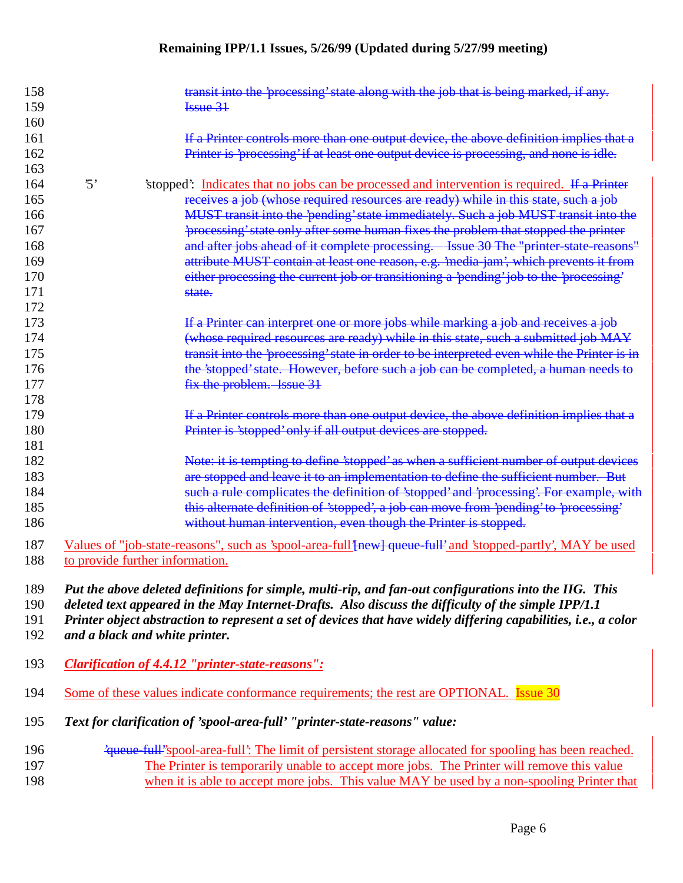| 158<br>159 |            | transit into the 'processing' state along with the job that is being marked, if any.<br>I <sub>ssue</sub> 31                                   |
|------------|------------|------------------------------------------------------------------------------------------------------------------------------------------------|
| 160        |            |                                                                                                                                                |
| 161        |            | If a Printer controls more than one output device, the above definition implies that a                                                         |
| 162        |            | Printer is 'processing' if at least one output device is processing, and none is idle.                                                         |
| 163        |            |                                                                                                                                                |
| 164        | $\cdot$ 5' | 'stopped': Indicates that no jobs can be processed and intervention is required. If a Printer                                                  |
| 165        |            | receives a job (whose required resources are ready) while in this state, such a job                                                            |
| 166        |            | MUST transit into the 'pending' state immediately. Such a job MUST transit into the                                                            |
| 167        |            | 'processing' state only after some human fixes the problem that stopped the printer                                                            |
| 168        |            | and after jobs ahead of it complete processing.  Issue 30 The "printer state reasons"                                                          |
| 169        |            | attribute MUST contain at least one reason, e.g. 'media-jam', which prevents it from                                                           |
| 170        |            | either processing the current job or transitioning a 'pending' job to the 'processing'                                                         |
| 171        |            | state.                                                                                                                                         |
| 172        |            |                                                                                                                                                |
| 173        |            | If a Printer can interpret one or more jobs while marking a job and receives a job                                                             |
| 174        |            | (whose required resources are ready) while in this state, such a submitted job MAY                                                             |
| 175        |            | transit into the 'processing' state in order to be interpreted even while the Printer is in                                                    |
| 176        |            | the 'stopped' state. However, before such a job can be completed, a human needs to                                                             |
| 177        |            | fix the problem. Issue 31                                                                                                                      |
| 178        |            |                                                                                                                                                |
| 179        |            | If a Printer controls more than one output device, the above definition implies that a                                                         |
| 180        |            | Printer is 'stopped' only if all output devices are stopped.                                                                                   |
| 181        |            |                                                                                                                                                |
| 182        |            | Note: it is tempting to define 'stopped' as when a sufficient number of output devices                                                         |
| 183        |            | are stopped and leave it to an implementation to define the sufficient number. But                                                             |
| 184        |            | such a rule complicates the definition of 'stopped' and 'processing'. For example, with                                                        |
| 185        |            | this alternate definition of 'stopped', a job can move from 'pending' to 'processing'                                                          |
| 186        |            | without human intervention, even though the Printer is stopped.                                                                                |
| 187<br>188 |            | Values of "job-state-reasons", such as 'spool-area-full'[new] queue-full' and 'stopped-partly', MAY be used<br>to provide further information. |

*Put the above deleted definitions for simple, multi-rip, and fan-out configurations into the IIG. This*

*deleted text appeared in the May Internet-Drafts. Also discuss the difficulty of the simple IPP/1.1*

*Printer object abstraction to represent a set of devices that have widely differing capabilities, i.e., a color*

*and a black and white printer.*

- *Clarification of 4.4.12 "printer-state-reasons":*
- 194 Some of these values indicate conformance requirements; the rest are OPTIONAL. Issue 30
- *Text for clarification of 'spool-area-full' "printer-state-reasons" value:*
- 'queue-full''spool-area-full': The limit of persistent storage allocated for spooling has been reached. 197 The Printer is temporarily unable to accept more jobs. The Printer will remove this value 198 when it is able to accept more jobs. This value MAY be used by a non-spooling Printer that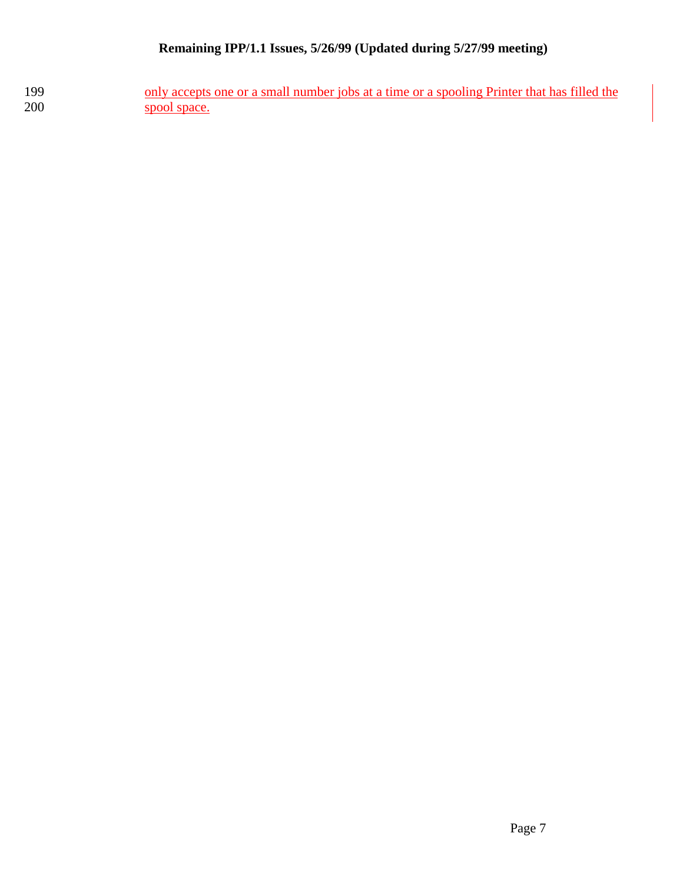199 only accepts one or a small number jobs at a time or a spooling Printer that has filled the spool space. spool space.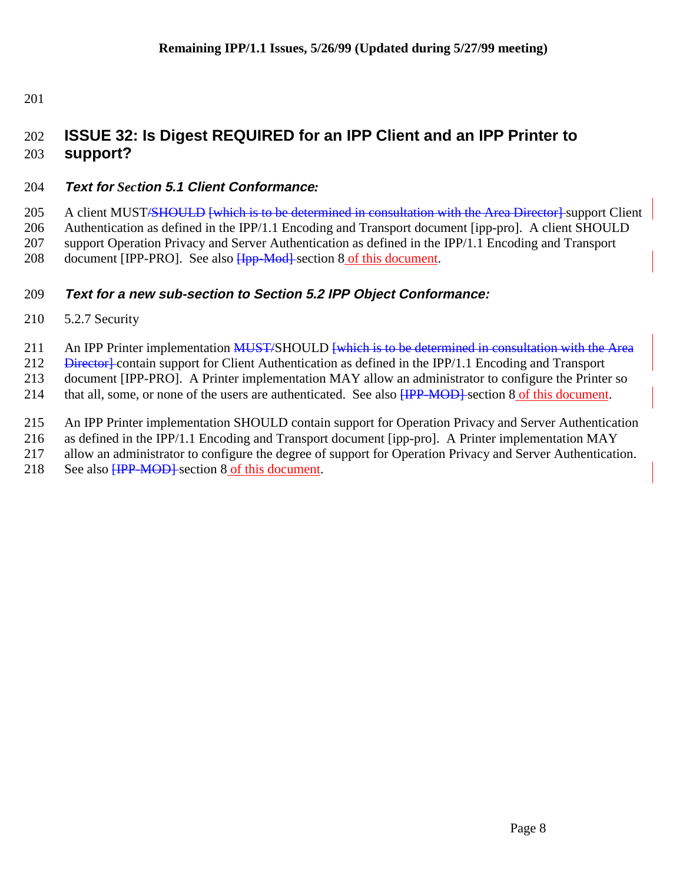# 202 **ISSUE 32: Is Digest REQUIRED for an IPP Client and an IPP Printer to** 203 **support?**

## 204 **Text for** *Sec***tion 5.1 Client Conformance***:*

205 A client MUST/SHOULD [which is to be determined in consultation with the Area Director] support Client 206 Authentication as defined in the IPP/1.1 Encoding and Transport document [ipp-pro]. A client SHOULD 207 support Operation Privacy and Server Authentication as defined in the IPP/1.1 Encoding and Transport 208 document [IPP-PRO]. See also Hpp-Mod-section 8 of this document.

## 209 **Text for a new sub-section to Section 5.2 IPP Object Conformance:**

210 5.2.7 Security

211 An IPP Printer implementation MUST/SHOULD [which is to be determined in consultation with the Area

212 <del>Director]</del> contain support for Client Authentication as defined in the IPP/1.1 Encoding and Transport

213 document [IPP-PRO]. A Printer implementation MAY allow an administrator to configure the Printer so

214 that all, some, or none of the users are authenticated. See also  $\overline{HPP-MOD}$  section 8 of this document.

215 An IPP Printer implementation SHOULD contain support for Operation Privacy and Server Authentication

216 as defined in the IPP/1.1 Encoding and Transport document [ipp-pro]. A Printer implementation MAY

217 allow an administrator to configure the degree of support for Operation Privacy and Server Authentication.

218 See also <del>[IPP-MOD]</del> section 8 of this document.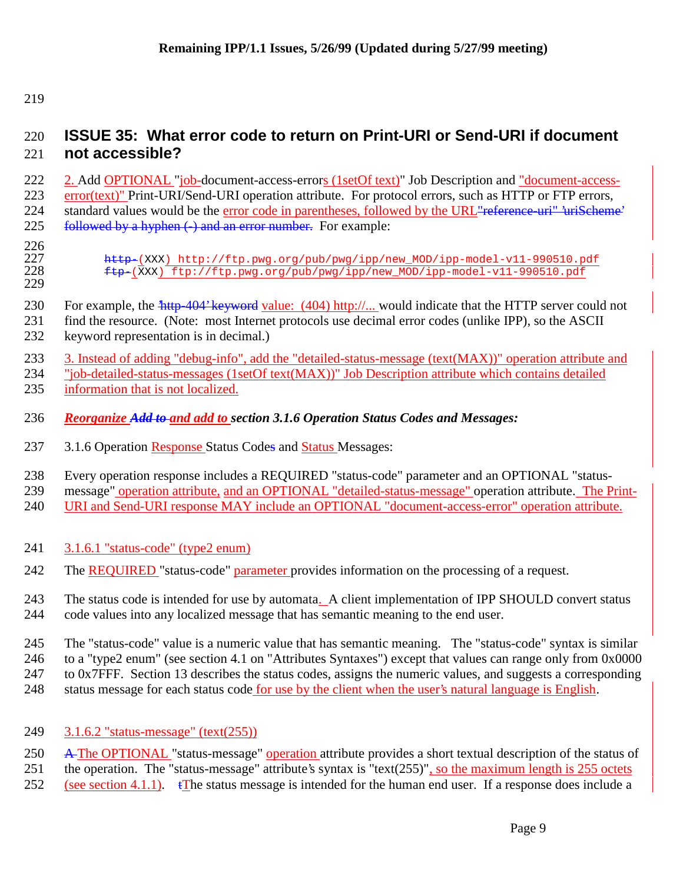# **ISSUE 35: What error code to return on Print-URI or Send-URI if document not accessible?**

 2. Add OPTIONAL "job-document-access-errors (1setOf text)" Job Description and "document-access-223 error(text)" Print-URI/Send-URI operation attribute. For protocol errors, such as HTTP or FTP errors, 224 standard values would be the error code in parentheses, followed by the URL <del>reference-uri" 'uriScheme'</del> 225 followed by a hyphen  $\left(\cdot\right)$  and an error number. For example:

 $\frac{226}{227}$ 

227 http-(XXX) http://ftp.pwg.org/pub/pwg/ipp/new\_MOD/ipp-model-v11-990510.pdf<br>228 ftp-(XXX) ftp://ftp.pwg.org/pub/pwg/ipp/new\_MOD/ipp-model-v11-990510.pdf ftp-(XXX) ftp://ftp.pwg.org/pub/pwg/ipp/new\_MOD/ipp-model-v11-990510.pdf

- 230 For example, the  $\frac{404}{100}$  keyword value: (404) http://... would indicate that the HTTP server could not
- find the resource. (Note: most Internet protocols use decimal error codes (unlike IPP), so the ASCII
- keyword representation is in decimal.)
- 3. Instead of adding "debug-info", add the "detailed-status-message (text(MAX))" operation attribute and

"job-detailed-status-messages (1setOf text(MAX))" Job Description attribute which contains detailed

- information that is not localized.
- *Reorganize Add to and add to section 3.1.6 Operation Status Codes and Messages:*
- 3.1.6 Operation Response Status Codes and Status Messages:

Every operation response includes a REQUIRED "status-code" parameter and an OPTIONAL "status-

message" operation attribute, and an OPTIONAL "detailed-status-message" operation attribute. The Print-

240 URI and Send-URI response MAY include an OPTIONAL "document-access-error" operation attribute.

- 3.1.6.1 "status-code" (type2 enum)
- 242 The REQUIRED "status-code" parameter provides information on the processing of a request.

 The status code is intended for use by automata. A client implementation of IPP SHOULD convert status code values into any localized message that has semantic meaning to the end user.

 The "status-code" value is a numeric value that has semantic meaning. The "status-code" syntax is similar to a "type2 enum" (see section 4.1 on "Attributes Syntaxes") except that values can range only from 0x0000 to 0x7FFF. Section 13 describes the status codes, assigns the numeric values, and suggests a corresponding status message for each status code for use by the client when the user's natural language is English.

3.1.6.2 "status-message" (text(255))

250 A The OPTIONAL "status-message" operation attribute provides a short textual description of the status of the operation. The "status-message" attribute's syntax is "text(255)", so the maximum length is 255 octets

252 (see section 4.1.1).  $\mathbf{f}$ The status message is intended for the human end user. If a response does include a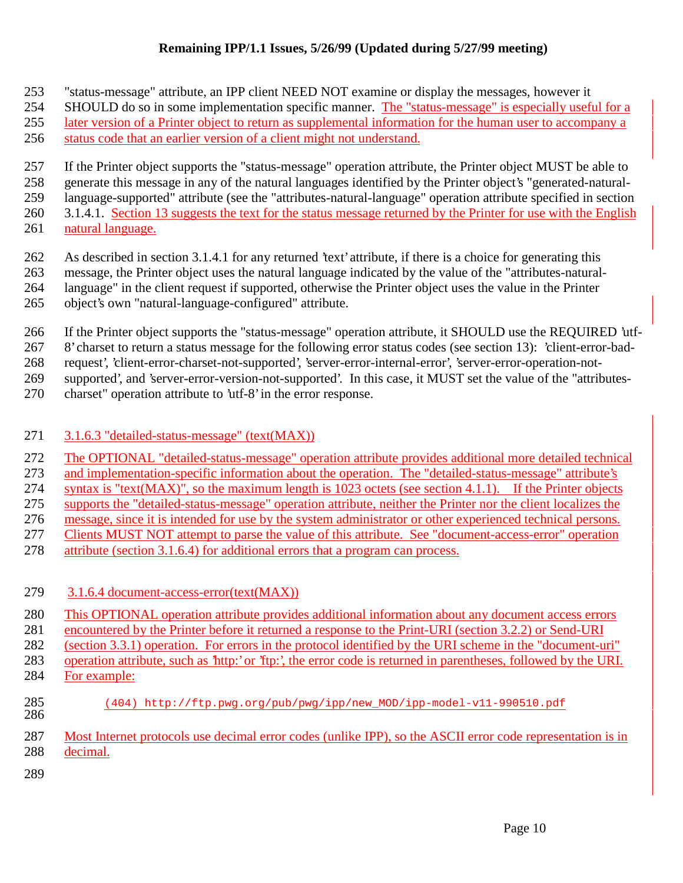- "status-message" attribute, an IPP client NEED NOT examine or display the messages, however it
- SHOULD do so in some implementation specific manner. The "status-message" is especially useful for a
- later version of a Printer object to return as supplemental information for the human user to accompany a
- status code that an earlier version of a client might not understand.
- If the Printer object supports the "status-message" operation attribute, the Printer object MUST be able to
- generate this message in any of the natural languages identified by the Printer object's "generated-natural-

language-supported" attribute (see the "attributes-natural-language" operation attribute specified in section

- 260 3.1.4.1. Section 13 suggests the text for the status message returned by the Printer for use with the English natural language.
- As described in section 3.1.4.1 for any returned 'text' attribute, if there is a choice for generating this
- message, the Printer object uses the natural language indicated by the value of the "attributes-natural-
- language" in the client request if supported, otherwise the Printer object uses the value in the Printer
- object's own "natural-language-configured" attribute.
- If the Printer object supports the "status-message" operation attribute, it SHOULD use the REQUIRED 'utf-
- 8' charset to return a status message for the following error status codes (see section 13): 'client-error-bad-
- request', 'client-error-charset-not-supported', 'server-error-internal-error', 'server-error-operation-not-
- supported', and 'server-error-version-not-supported'. In this case, it MUST set the value of the "attributes-
- charset" operation attribute to 'utf-8' in the error response.

# 3.1.6.3 "detailed-status-message" (text(MAX))

- The OPTIONAL "detailed-status-message" operation attribute provides additional more detailed technical
- and implementation-specific information about the operation. The "detailed-status-message" attribute's
- syntax is "text(MAX)", so the maximum length is 1023 octets (see section 4.1.1). If the Printer objects supports the "detailed-status-message" operation attribute, neither the Printer nor the client localizes the
- message, since it is intended for use by the system administrator or other experienced technical persons.
- Clients MUST NOT attempt to parse the value of this attribute. See "document-access-error" operation
- attribute (section 3.1.6.4) for additional errors that a program can process.
- 3.1.6.4 document-access-error(text(MAX))
- This OPTIONAL operation attribute provides additional information about any document access errors
- encountered by the Printer before it returned a response to the Print-URI (section 3.2.2) or Send-URI
- (section 3.3.1) operation. For errors in the protocol identified by the URI scheme in the "document-uri"
- operation attribute, such as 'http:' or 'ftp:', the error code is returned in parentheses, followed by the URI.
- For example:
- (404) http://ftp.pwg.org/pub/pwg/ipp/new\_MOD/ipp-model-v11-990510.pdf
- Most Internet protocols use decimal error codes (unlike IPP), so the ASCII error code representation is in decimal.
-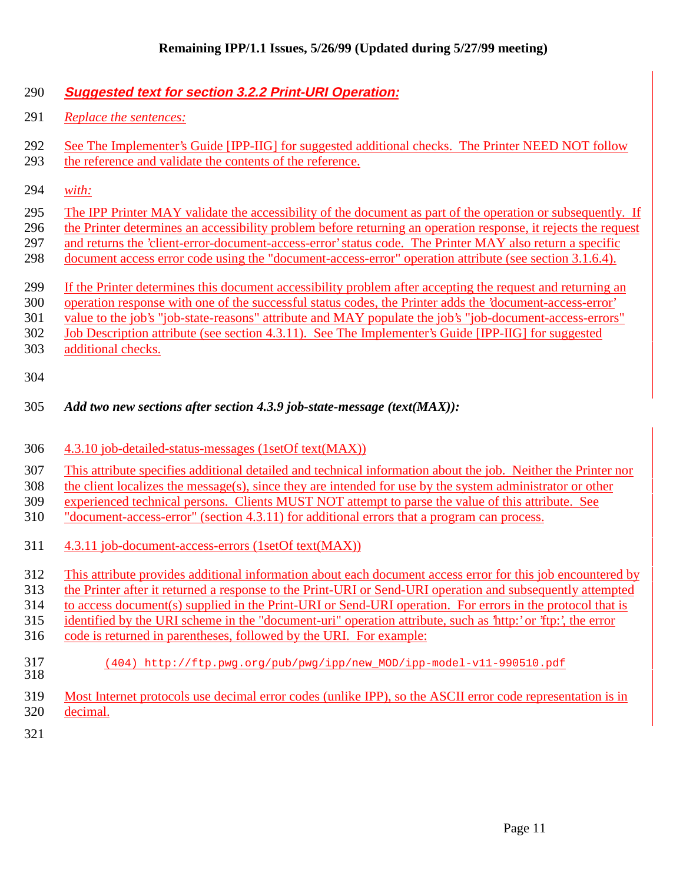## **Suggested text for section 3.2.2 Print-URI Operation:**

- *Replace the sentences:*
- See The Implementer's Guide [IPP-IIG] for suggested additional checks. The Printer NEED NOT follow the reference and validate the contents of the reference.
- *with:*
- The IPP Printer MAY validate the accessibility of the document as part of the operation or subsequently. If
- the Printer determines an accessibility problem before returning an operation response, it rejects the request
- and returns the 'client-error-document-access-error' status code. The Printer MAY also return a specific
- document access error code using the "document-access-error" operation attribute (see section 3.1.6.4).
- If the Printer determines this document accessibility problem after accepting the request and returning an
- operation response with one of the successful status codes, the Printer adds the 'document-access-error'

value to the job's "job-state-reasons" attribute and MAY populate the job's "job-document-access-errors"

Job Description attribute (see section 4.3.11). See The Implementer's Guide [IPP-IIG] for suggested

additional checks.

#### *Add two new sections after section 4.3.9 job-state-message (text(MAX)):*

- 4.3.10 job-detailed-status-messages (1setOf text(MAX))
- This attribute specifies additional detailed and technical information about the job. Neither the Printer nor
- the client localizes the message(s), since they are intended for use by the system administrator or other
- experienced technical persons. Clients MUST NOT attempt to parse the value of this attribute. See
- "document-access-error" (section 4.3.11) for additional errors that a program can process.
- 4.3.11 job-document-access-errors (1setOf text(MAX))
- This attribute provides additional information about each document access error for this job encountered by
- the Printer after it returned a response to the Print-URI or Send-URI operation and subsequently attempted
- to access document(s) supplied in the Print-URI or Send-URI operation. For errors in the protocol that is
- identified by the URI scheme in the "document-uri" operation attribute, such as 'http:' or 'ftp:', the error
- code is returned in parentheses, followed by the URI. For example:
- (404) http://ftp.pwg.org/pub/pwg/ipp/new\_MOD/ipp-model-v11-990510.pdf
- Most Internet protocols use decimal error codes (unlike IPP), so the ASCII error code representation is in decimal.
-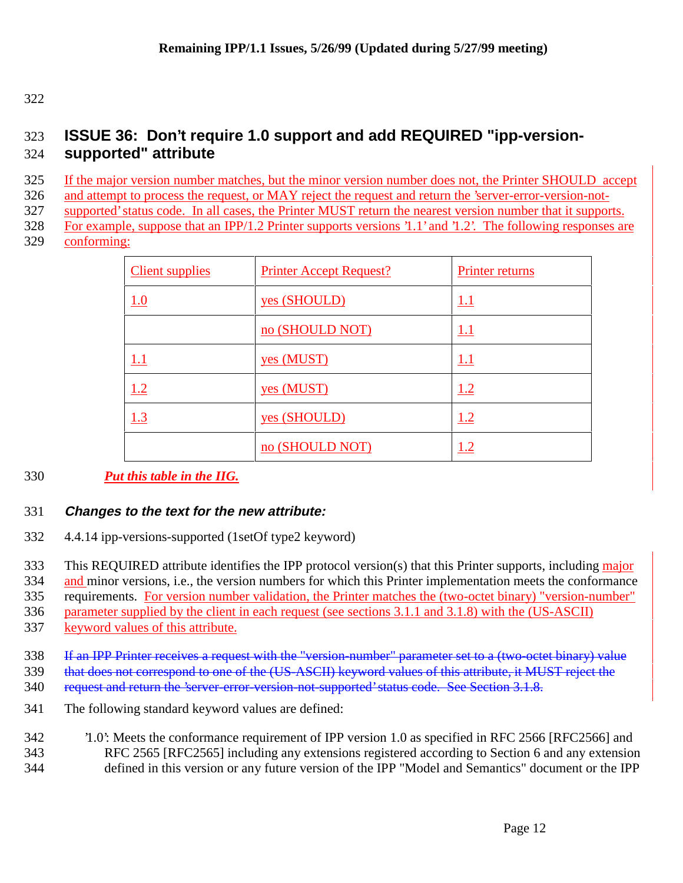# **ISSUE 36: Don't require 1.0 support and add REQUIRED "ipp-version-supported" attribute**

If the major version number matches, but the minor version number does not, the Printer SHOULD accept

and attempt to process the request, or MAY reject the request and return the 'server-error-version-not-

supported' status code. In all cases, the Printer MUST return the nearest version number that it supports.

For example, suppose that an IPP/1.2 Printer supports versions '1.1' and '1.2'. The following responses are

conforming:

| <b>Client supplies</b> | <b>Printer Accept Request?</b> | Printer returns |
|------------------------|--------------------------------|-----------------|
| 1.0                    | yes (SHOULD)                   | <u>1.1</u>      |
|                        | no (SHOULD NOT)                | 1.1             |
| <u>1.1</u>             | <u>yes (MUST)</u>              | 1.1             |
| 1.2                    | <u>yes (MUST)</u>              | 1.2             |
| 1.3                    | yes (SHOULD)                   | 1.2             |
|                        | no (SHOULD NOT)                | l.2             |

# *Put this table in the IIG.*

## **Changes to the text for the new attribute:**

4.4.14 ipp-versions-supported (1setOf type2 keyword)

333 This REQUIRED attribute identifies the IPP protocol version(s) that this Printer supports, including major

and minor versions, i.e., the version numbers for which this Printer implementation meets the conformance

requirements. For version number validation, the Printer matches the (two-octet binary) "version-number"

parameter supplied by the client in each request (see sections 3.1.1 and 3.1.8) with the (US-ASCII)

337 keyword values of this attribute.

If an IPP Printer receives a request with the "version-number" parameter set to a (two-octet binary) value

that does not correspond to one of the (US-ASCII) keyword values of this attribute, it MUST reject the

- 340 request and return the 'server-error-version-not-supported' status code. See Section 3.1.8.
- The following standard keyword values are defined:
- '1.0': Meets the conformance requirement of IPP version 1.0 as specified in RFC 2566 [RFC2566] and RFC 2565 [RFC2565] including any extensions registered according to Section 6 and any extension
- defined in this version or any future version of the IPP "Model and Semantics" document or the IPP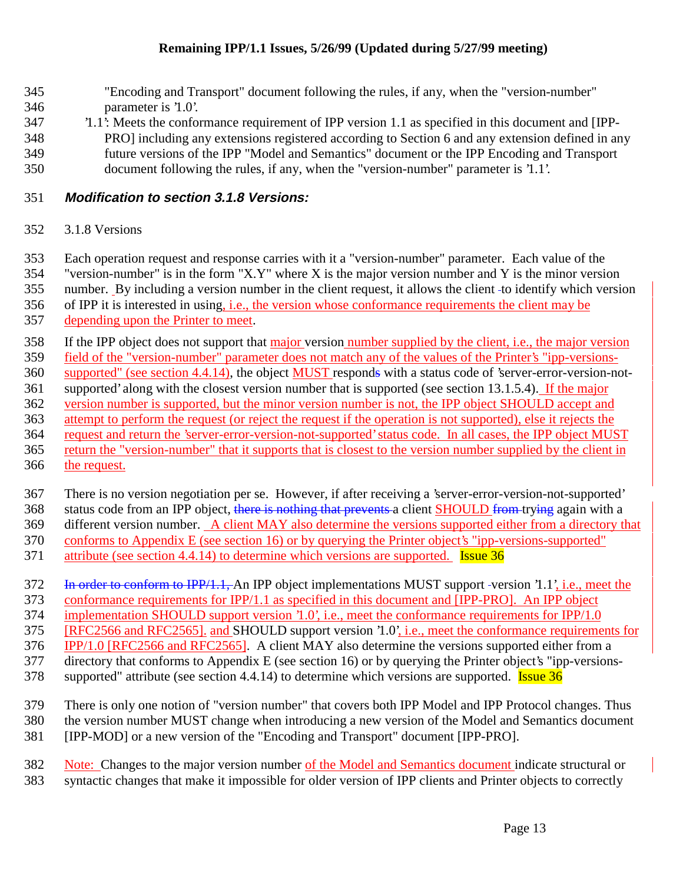- "Encoding and Transport" document following the rules, if any, when the "version-number" parameter is '1.0'.
- '1.1': Meets the conformance requirement of IPP version 1.1 as specified in this document and [IPP-
- PRO] including any extensions registered according to Section 6 and any extension defined in any future versions of the IPP "Model and Semantics" document or the IPP Encoding and Transport document following the rules, if any, when the "version-number" parameter is '1.1'.

#### **Modification to section 3.1.8 Versions:**

3.1.8 Versions

Each operation request and response carries with it a "version-number" parameter. Each value of the

"version-number" is in the form "X.Y" where X is the major version number and Y is the minor version

number. By including a version number in the client request, it allows the client to identify which version

of IPP it is interested in using, i.e., the version whose conformance requirements the client may be

depending upon the Printer to meet.

If the IPP object does not support that major version number supplied by the client, i.e., the major version

field of the "version-number" parameter does not match any of the values of the Printer's "ipp-versions-

supported" (see section 4.4.14), the object MUST responds with a status code of 'server-error-version-not-

361 supported' along with the closest version number that is supported (see section 13.1.5.4). If the major

version number is supported, but the minor version number is not, the IPP object SHOULD accept and

attempt to perform the request (or reject the request if the operation is not supported), else it rejects the

 request and return the 'server-error-version-not-supported' status code. In all cases, the IPP object MUST return the "version-number" that it supports that is closest to the version number supplied by the client in

366 the request.

 There is no version negotiation per se. However, if after receiving a 'server-error-version-not-supported' 368 status code from an IPP object, there is nothing that prevents a client SHOULD from trying again with a

different version number. A client MAY also determine the versions supported either from a directory that

conforms to Appendix E (see section 16) or by querying the Printer object's "ipp-versions-supported"

371 attribute (see section 4.4.14) to determine which versions are supported. **Issue 36** 

372 In order to conform to IPP/1.1, An IPP object implementations MUST support -version '1.1', i.e., meet the

conformance requirements for IPP/1.1 as specified in this document and [IPP-PRO]. An IPP object

implementation SHOULD support version '1.0', i.e., meet the conformance requirements for IPP/1.0

375 [RFC2566 and RFC2565]. and SHOULD support version '1.0', i.e., meet the conformance requirements for

IPP/1.0 [RFC2566 and RFC2565]. A client MAY also determine the versions supported either from a

directory that conforms to Appendix E (see section 16) or by querying the Printer object's "ipp-versions-

378 supported" attribute (see section 4.4.14) to determine which versions are supported. **Issue 36** 

There is only one notion of "version number" that covers both IPP Model and IPP Protocol changes. Thus

the version number MUST change when introducing a new version of the Model and Semantics document

[IPP-MOD] or a new version of the "Encoding and Transport" document [IPP-PRO].

Note: Changes to the major version number of the Model and Semantics document indicate structural or

syntactic changes that make it impossible for older version of IPP clients and Printer objects to correctly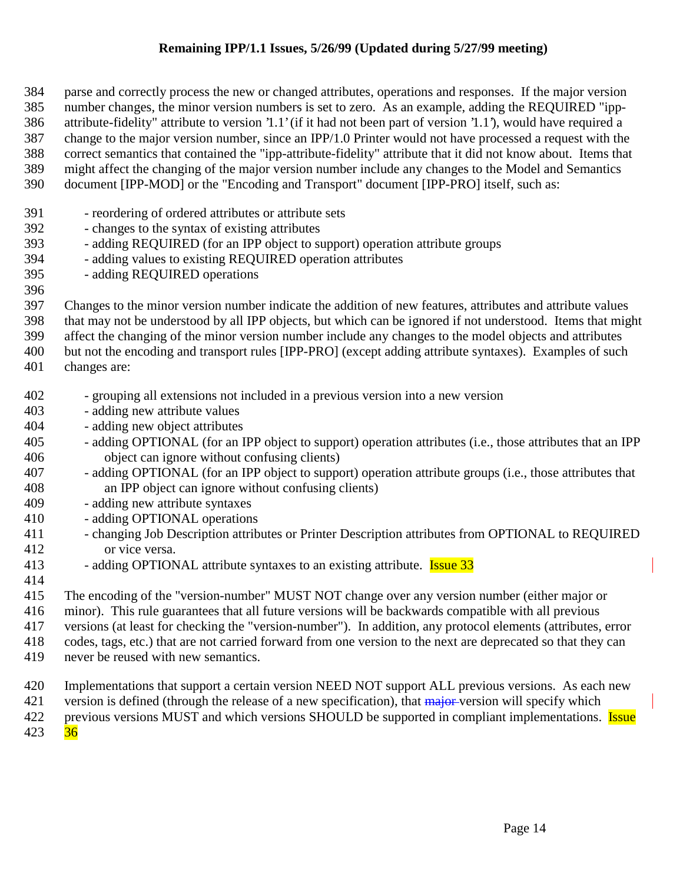parse and correctly process the new or changed attributes, operations and responses. If the major version number changes, the minor version numbers is set to zero. As an example, adding the REQUIRED "ipp- attribute-fidelity" attribute to version '1.1' (if it had not been part of version '1.1'), would have required a change to the major version number, since an IPP/1.0 Printer would not have processed a request with the correct semantics that contained the "ipp-attribute-fidelity" attribute that it did not know about. Items that might affect the changing of the major version number include any changes to the Model and Semantics document [IPP-MOD] or the "Encoding and Transport" document [IPP-PRO] itself, such as:

- reordering of ordered attributes or attribute sets
- changes to the syntax of existing attributes
- adding REQUIRED (for an IPP object to support) operation attribute groups
- adding values to existing REQUIRED operation attributes
- adding REQUIRED operations
- 

Changes to the minor version number indicate the addition of new features, attributes and attribute values

that may not be understood by all IPP objects, but which can be ignored if not understood. Items that might

 affect the changing of the minor version number include any changes to the model objects and attributes but not the encoding and transport rules [IPP-PRO] (except adding attribute syntaxes). Examples of such

changes are:

- 
- grouping all extensions not included in a previous version into a new version
- adding new attribute values
- adding new object attributes
- adding OPTIONAL (for an IPP object to support) operation attributes (i.e., those attributes that an IPP object can ignore without confusing clients)
- adding OPTIONAL (for an IPP object to support) operation attribute groups (i.e., those attributes that an IPP object can ignore without confusing clients)
- adding new attribute syntaxes
- adding OPTIONAL operations
- 411 changing Job Description attributes or Printer Description attributes from OPTIONAL to REQUIRED or vice versa.
- 413 adding OPTIONAL attribute syntaxes to an existing attribute. **Issue 33**
- 

The encoding of the "version-number" MUST NOT change over any version number (either major or

minor). This rule guarantees that all future versions will be backwards compatible with all previous

versions (at least for checking the "version-number"). In addition, any protocol elements (attributes, error

codes, tags, etc.) that are not carried forward from one version to the next are deprecated so that they can

- never be reused with new semantics.
- Implementations that support a certain version NEED NOT support ALL previous versions. As each new
- 421 version is defined (through the release of a new specification), that  $\frac{1}{\text{major}}$  version will specify which

422 previous versions MUST and which versions SHOULD be supported in compliant implementations. **Issue** 

36